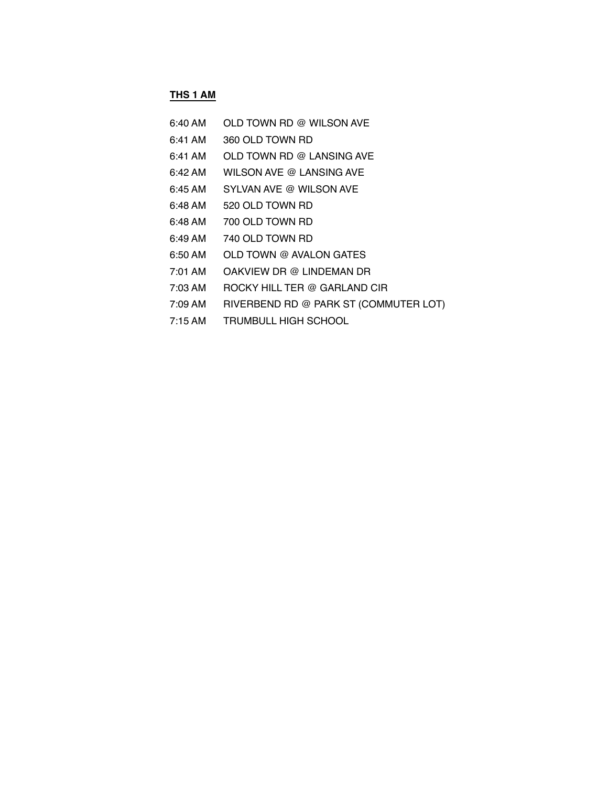### **THS 1 AM**

| 6:40 AM           | OLD TOWN RD @ WILSON AVE              |
|-------------------|---------------------------------------|
| 6:41 AM           | 360 OLD TOWN RD                       |
| 6:41 AM           | OLD TOWN RD @ LANSING AVE             |
| 6:42 AM           | WILSON AVE @ LANSING AVE              |
| 6:45 AM           | SYLVAN AVE @ WILSON AVE               |
| 6:48 AM           | 520 OLD TOWN RD                       |
| 6:48 AM           | 700 OLD TOWN RD                       |
| 6:49 AM           | 740 OLD TOWN RD                       |
| $6:50$ AM         | OLD TOWN @ AVALON GATES               |
| 7:01 AM           | OAKVIEW DR @ LINDEMAN DR              |
| 7:03 AM           | ROCKY HILL TER @ GARLAND CIR          |
| 7:09 AM           | RIVERBEND RD @ PARK ST (COMMUTER LOT) |
| $7:15 \text{ AM}$ | TRUMBULL HIGH SCHOOL                  |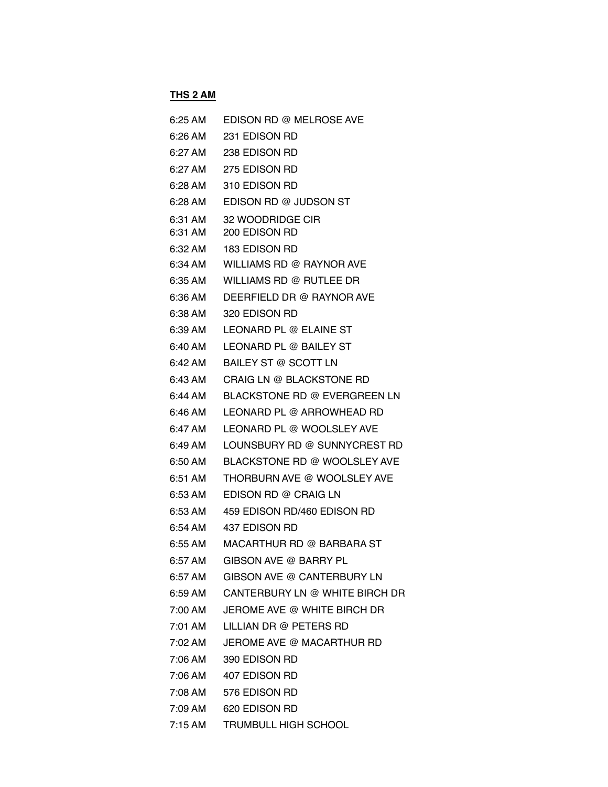# **THS 2 AM**

| 6:25 AM            | EDISON RD @ MELROSE AVE                |
|--------------------|----------------------------------------|
| 6:26 AM            | 231 EDISON RD                          |
| 6:27 AM            | 238 EDISON RD                          |
| 6:27 AM            | 275 EDISON RD                          |
| 6:28 AM            | 310 EDISON RD                          |
| 6:28 AM            | EDISON RD @ JUDSON ST                  |
| 6:31 AM<br>6:31 AM | 32 WOODRIDGE CIR<br>200 EDISON RD      |
| 6:32 AM            | <b>183 EDISON RD</b>                   |
| 6:34 AM            | WILLIAMS RD @ RAYNOR AVE               |
| 6:35 AM            | WILLIAMS RD @ RUTLEE DR                |
| 6:36 AM            | DEERFIELD DR @ RAYNOR AVE              |
| 6:38 AM            | 320 EDISON RD                          |
| 6:39 AM            | LEONARD PL @ ELAINE ST                 |
| 6:40 AM            | LEONARD PL @ BAILEY ST                 |
| 6:42 AM            | BAILEY ST @ SCOTT LN                   |
| 6:43 AM            | CRAIG LN @ BLACKSTONE RD               |
| 6:44 AM            | BLACKSTONE RD @ EVERGREEN LN           |
| 6:46 AM            | LEONARD PL @ ARROWHEAD RD              |
| 6:47 AM            | LEONARD PL @ WOOLSLEY AVE              |
| 6:49 AM            | LOUNSBURY RD @ SUNNYCREST RD           |
| 6:50 AM            | BLACKSTONE RD @ WOOLSLEY AVE           |
| 6:51 AM            | THORBURN AVE @ WOOLSLEY AVE            |
| 6:53 AM            | EDISON RD @ CRAIG LN                   |
| 6:53 AM            | 459 EDISON RD/460 EDISON RD            |
| 6:54 AM            | 437 EDISON RD                          |
| $6:55$ AM          | MACARTHUR RD @ BARBARA ST              |
| 6:57 AM            | GIBSON AVE @ BARRY PL                  |
| 6:57 AM            | GIBSON AVE @ CANTERBURY LN             |
|                    | 6:59 AM CANTERBURY LN @ WHITE BIRCH DR |
|                    | 7:00 AM JEROME AVE @ WHITE BIRCH DR    |
| 7:01 AM            | LILLIAN DR @ PETERS RD                 |
|                    | 7:02 AM JEROME AVE @ MACARTHUR RD      |
|                    | 7:06 AM 390 EDISON RD                  |
|                    | 7:06 AM   407 EDISON RD                |
|                    | 7:08 AM 576 EDISON RD                  |
|                    | 7:09 AM   620 EDISON RD                |
| 7:15 AM            | <b>TRUMBULL HIGH SCHOOL</b>            |
|                    |                                        |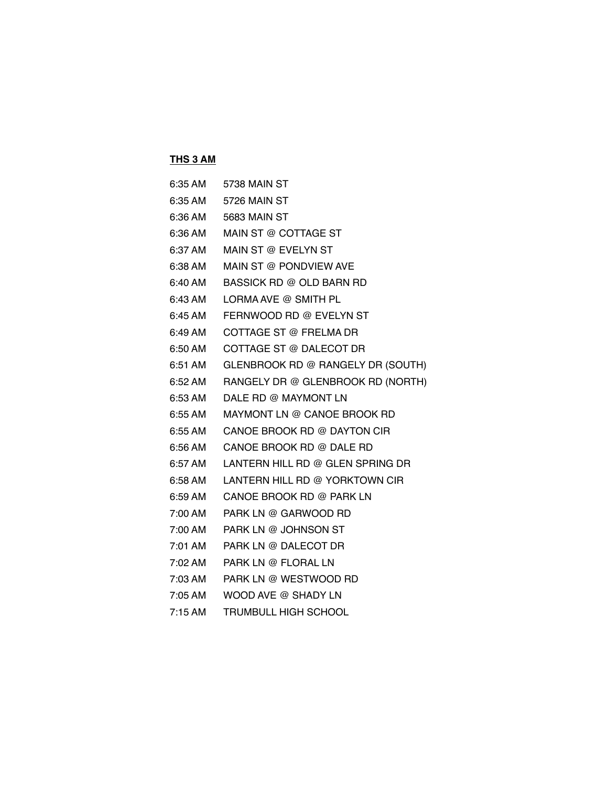### **THS 3 AM**

| 6:35 AM           | 5738 MAIN ST                      |
|-------------------|-----------------------------------|
| 6:35 AM           | 5726 MAIN ST                      |
| 6:36 AM           | 5683 MAIN ST                      |
| 6:36 AM           | MAIN ST @ COTTAGE ST              |
| 6:37 AM           | MAIN ST @ EVELYN ST               |
| 6:38 AM           | MAIN ST @ PONDVIEW AVE            |
| 6:40 AM           | BASSICK RD @ OLD BARN RD          |
| 6:43 AM           | LORMA AVE @ SMITH PL              |
| 6:45 AM           | FERNWOOD RD @ EVELYN ST           |
| 6:49 AM           | COTTAGE ST @ FRELMA DR            |
| 6:50 AM           | COTTAGE ST @ DALECOT DR           |
| 6:51 AM           | GLENBROOK RD @ RANGELY DR (SOUTH) |
| $6:52 \text{ AM}$ | RANGELY DR @ GLENBROOK RD (NORTH) |
| $6:53$ AM         | DALE RD @ MAYMONT LN              |
| 6:55 AM           | MAYMONT LN @ CANOE BROOK RD       |
| 6:55 AM           | CANOE BROOK RD @ DAYTON CIR       |
| 6:56 AM           | CANOE BROOK RD @ DALE RD          |
| 6:57 AM           | LANTERN HILL RD @ GLEN SPRING DR  |
| 6:58 AM           | LANTERN HILL RD @ YORKTOWN CIR    |
| 6:59 AM           | CANOE BROOK RD @ PARK LN          |
| 7:00 AM           | PARK LN @ GARWOOD RD              |
| 7:00 AM           | PARK LN @ JOHNSON ST              |
| 7:01 AM           | PARK LN @ DALECOT DR              |
| 7:02 AM           | PARK LN @ FLORAL LN               |
| 7:03 AM           | PARK LN @ WESTWOOD RD             |
| 7:05 AM           | WOOD AVE @ SHADY LN               |
| 7:15AM            | <b>TRUMBULL HIGH SCHOOL</b>       |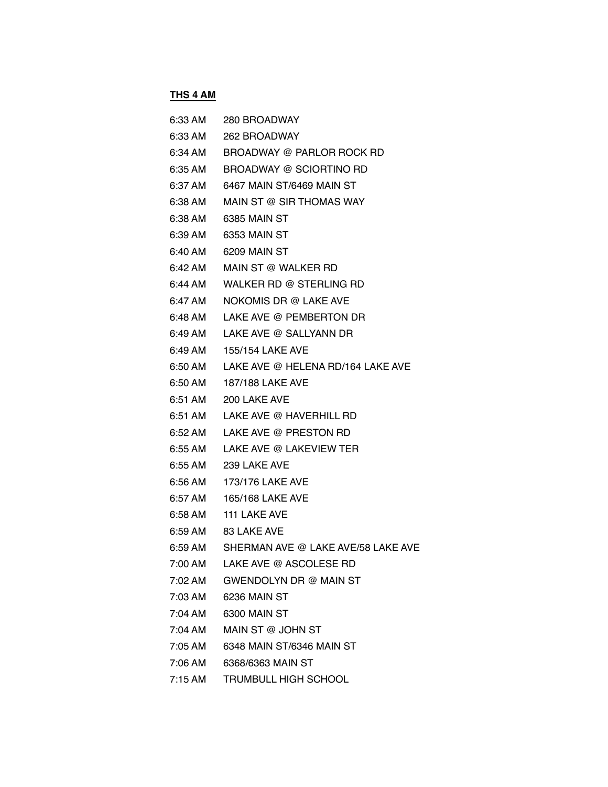### **THS 4 AM**

|         | 6:33 AM 280 BROADWAY                       |
|---------|--------------------------------------------|
|         | 6:33 AM 262 BROADWAY                       |
|         | 6:34 AM BROADWAY @ PARLOR ROCK RD          |
| 6:35 AM | BROADWAY @ SCIORTINO RD                    |
| 6:37 AM | 6467 MAIN ST/6469 MAIN ST                  |
| 6:38 AM | MAIN ST @ SIR THOMAS WAY                   |
| 6:38 AM | 6385 MAIN ST                               |
| 6:39 AM | 6353 MAIN ST                               |
| 6:40 AM | 6209 MAIN ST                               |
| 6:42 AM | MAIN ST @ WALKER RD                        |
| 6:44 AM | WALKER RD @ STERLING RD                    |
| 6:47 AM | NOKOMIS DR @ LAKE AVE                      |
| 6:48 AM | LAKE AVE @ PEMBERTON DR                    |
| 6:49 AM | LAKE AVE @ SALLYANN DR                     |
|         | 6:49 AM 155/154 LAKE AVE                   |
| 6:50 AM | LAKE AVE @ HELENA RD/164 LAKE AVE          |
| 6:50 AM | 187/188 LAKE AVE                           |
| 6:51 AM | 200 LAKE AVE                               |
|         | 6:51 AM LAKE AVE @ HAVERHILL RD            |
| 6:52 AM | LAKE AVE @ PRESTON RD                      |
| 6:55 AM | LAKE AVE @ LAKEVIEW TER                    |
|         | 6:55 AM 239 LAKE AVE                       |
| 6:56 AM | 173/176 LAKE AVE                           |
| 6:57 AM | 165/168 LAKE AVE                           |
| 6:58 AM | 111 LAKE AVE                               |
|         | 6:59 AM 83 LAKE AVE                        |
|         | 6:59 AM SHERMAN AVE @ LAKE AVE/58 LAKE AVE |
| 7:00 AM | LAKE AVE @ ASCOLESE RD                     |
| 7:02 AM | GWENDOLYN DR @ MAIN ST                     |
| 7:03 AM | 6236 MAIN ST                               |
| 7:04 AM | 6300 MAIN ST                               |
| 7:04 AM | MAIN ST @ JOHN ST                          |
| 7:05 AM | 6348 MAIN ST/6346 MAIN ST                  |
| 7:06 AM | 6368/6363 MAIN ST                          |
|         |                                            |

7:15 AM TRUMBULL HIGH SCHOOL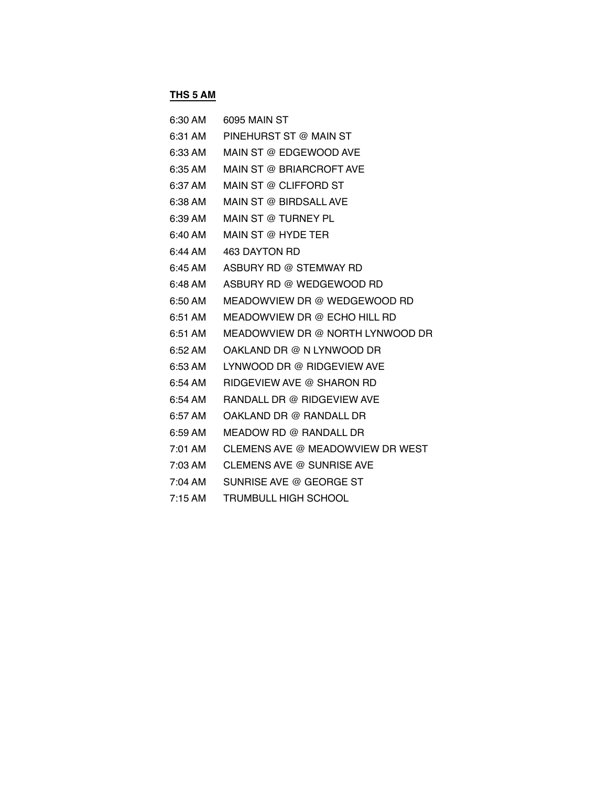# **THS 5 AM**

| 6:30 AM             | 6095 MAIN ST                     |
|---------------------|----------------------------------|
| 6:31 AM             | PINEHURST ST @ MAIN ST           |
| 6:33 AM             | MAIN ST @ EDGEWOOD AVE           |
| 6:35 AM             | MAIN ST @ BRIARCROFT AVE         |
| 6:37 AM             | MAIN ST @ CLIFFORD ST            |
| 6:38 AM             | MAIN ST @ BIRDSALL AVE           |
| 6:39 AM             | MAIN ST @ TURNEY PL              |
| $6:40$ AM           | MAIN ST @ HYDE TER               |
| $6:44 \, \text{AM}$ | 463 DAYTON RD                    |
| 6:45 AM             | ASBURY RD @ STEMWAY RD           |
| $6:48 \,$ AM        | ASBURY RD @ WEDGEWOOD RD         |
| $6:50$ AM           | MEADOWVIEW DR @ WEDGEWOOD RD     |
| 6:51 AM             | MEADOWVIEW DR @ ECHO HILL RD     |
| $6:51$ AM           | MEADOWVIEW DR @ NORTH LYNWOOD DR |
| $6:52 \text{ AM}$   | OAKLAND DR @ N LYNWOOD DR        |
| 6:53 AM             | LYNWOOD DR @ RIDGEVIEW AVE       |
| $6:54$ AM           | RIDGEVIEW AVE @ SHARON RD        |
| $6:54$ AM           | RANDALL DR @ RIDGEVIEW AVE       |
| $6:57$ AM           | OAKLAND DR @ RANDALL DR          |
| 6:59 AM             | MEADOW RD @ RANDALL DR           |
| 7:01 AM             | CLEMENS AVE @ MEADOWVIEW DR WEST |
| 7:03 AM             | CLEMENS AVE @ SUNRISE AVE        |
| 7:04 AM             | SUNRISE AVE @ GEORGE ST          |
| 7:15AM              | <b>TRUMBULL HIGH SCHOOL</b>      |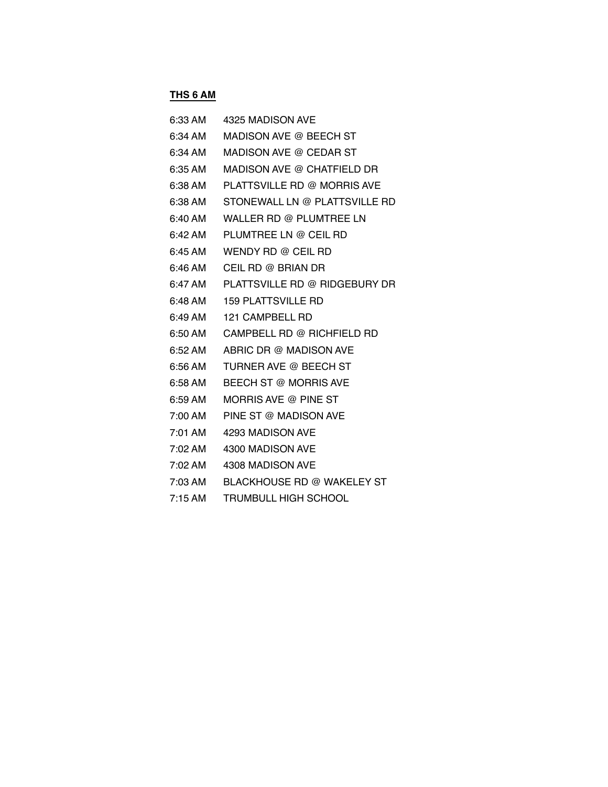## **THS 6 AM**

| 6:33 AM           | 4325 MADISON AVE              |
|-------------------|-------------------------------|
| $6:34 \text{ AM}$ | MADISON AVE @ BEECH ST        |
| 6:34 AM           | MADISON AVE @ CEDAR ST        |
| 6:35 AM           | MADISON AVE @ CHATFIELD DR    |
| $6:38 \,$ AM      | PLATTSVILLE RD @ MORRIS AVE   |
| 6:38 AM           | STONEWALL LN @ PLATTSVILLE RD |
| $6:40$ AM         | WALLER RD @ PLUMTREE LN       |
| 6:42 AM           | PLUMTREE LN @ CEIL RD         |
| $6:45 \text{ AM}$ | WENDY RD @ CEIL RD            |
| $6:46$ AM         | CEIL RD @ BRIAN DR            |
| 6:47 AM           | PLATTSVILLE RD @ RIDGEBURY DR |
| $6:48 \text{ AM}$ | <b>159 PLATTSVILLE RD</b>     |
| $6:49$ AM         | 121 CAMPBELL RD               |
| $6:50$ AM         | CAMPBELL RD @ RICHFIELD RD    |
| 6:52 AM           | ABRIC DR @ MADISON AVE        |
| 6:56 AM           | TURNER AVE @ BEECH ST         |
| $6:58$ AM         | BEECH ST @ MORRIS AVE         |
| 6:59 AM           | MORRIS AVE @ PINE ST          |
| 7:00 AM           | PINE ST @ MADISON AVE         |
| 7:01 AM           | 4293 MADISON AVE              |
| 7:02 AM           | 4300 MADISON AVE              |
| 7:02 AM           | 4308 MADISON AVE              |
| 7:03 AM           | BLACKHOUSE RD @ WAKELEY ST    |
| $7:15$ AM         | <b>TRUMBULL HIGH SCHOOL</b>   |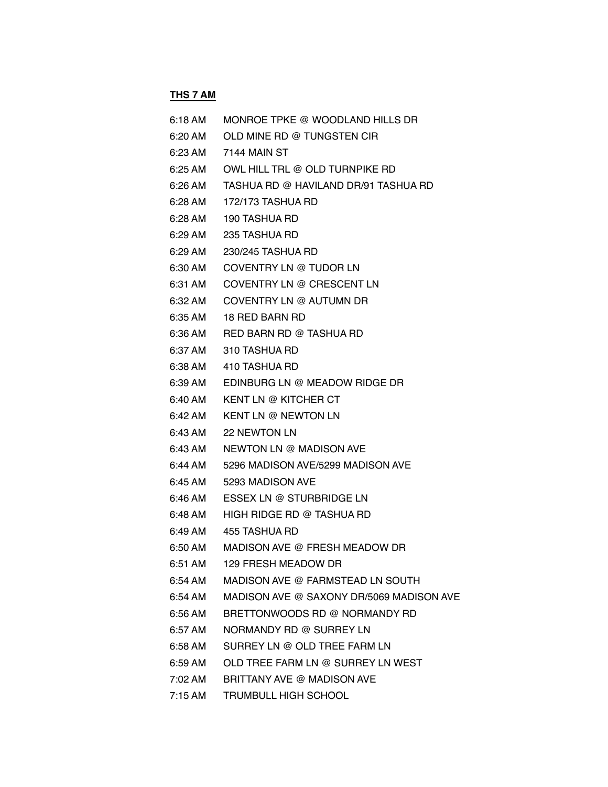# **THS 7 AM**

| 6:18 AM | MONROE TPKE @ WOODLAND HILLS DR          |
|---------|------------------------------------------|
| 6:20 AM | OLD MINE RD @ TUNGSTEN CIR               |
| 6:23 AM | 7144 MAIN ST                             |
| 6:25 AM | OWL HILL TRL @ OLD TURNPIKE RD           |
| 6:26 AM | TASHUA RD @ HAVILAND DR/91 TASHUA RD     |
| 6:28 AM | 172/173 TASHUA RD                        |
| 6:28 AM | <b>190 TASHUA RD</b>                     |
| 6:29 AM | 235 TASHUA RD                            |
| 6:29 AM | 230/245 TASHUA RD                        |
| 6:30 AM | COVENTRY LN @ TUDOR LN                   |
| 6:31 AM | COVENTRY LN @ CRESCENT LN                |
| 6:32 AM | COVENTRY LN @ AUTUMN DR                  |
| 6:35 AM | 18 RED BARN RD                           |
| 6:36 AM | RED BARN RD @ TASHUA RD                  |
| 6:37 AM | 310 TASHUA RD                            |
| 6:38 AM | 410 TASHUA RD                            |
| 6:39 AM | EDINBURG LN @ MEADOW RIDGE DR            |
| 6:40 AM | <b>KENT LN @ KITCHER CT</b>              |
| 6:42 AM | <b>KENT LN @ NEWTON LN</b>               |
| 6:43 AM | 22 NEWTON LN                             |
| 6:43 AM | NEWTON LN @ MADISON AVE                  |
| 6:44 AM | 5296 MADISON AVE/5299 MADISON AVE        |
| 6:45 AM | 5293 MADISON AVE                         |
| 6:46 AM | ESSEX LN @ STURBRIDGE LN                 |
| 6:48 AM | HIGH RIDGE RD @ TASHUA RD                |
| 6:49 AM | 455 TASHUA RD                            |
|         |                                          |
| 6:51 AM | <b>129 FRESH MEADOW DR</b>               |
| 6:54 AM | MADISON AVE @ FARMSTEAD LN SOUTH         |
| 6:54 AM | MADISON AVE @ SAXONY DR/5069 MADISON AVE |
| 6:56 AM | BRETTONWOODS RD @ NORMANDY RD            |
| 6:57 AM | NORMANDY RD @ SURREY LN                  |
| 6:58 AM | SURREY LN @ OLD TREE FARM LN             |
| 6:59 AM | OLD TREE FARM LN @ SURREY LN WEST        |
| 7:02 AM | BRITTANY AVE @ MADISON AVE               |
| 7:15 AM | TRUMBULL HIGH SCHOOL                     |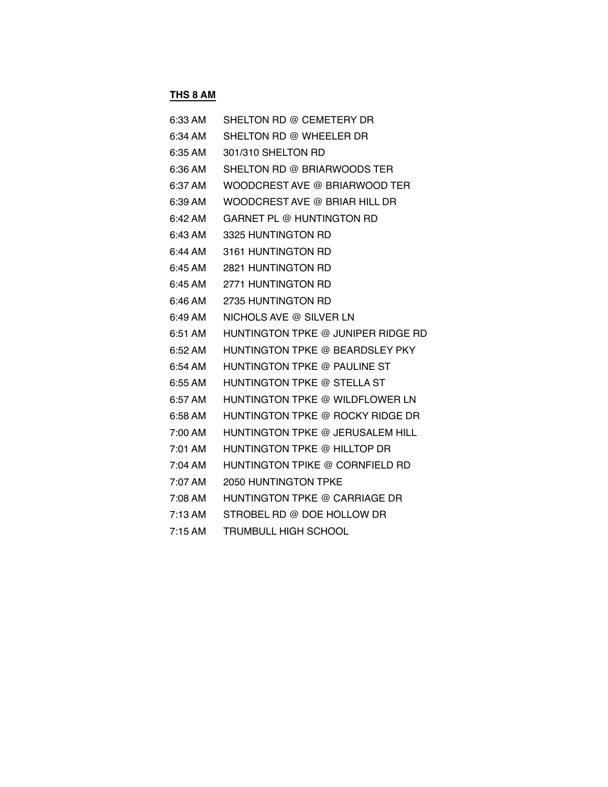# **THS 8 AM**

| 6:33 AM             | SHELTON RD @ CEMETERY DR           |
|---------------------|------------------------------------|
| $6:34 \, \text{AM}$ | SHELTON RD @ WHEELER DR            |
| 6:35 AM             | 301/310 SHELTON RD                 |
| $6:36$ AM           | SHELTON RD @ BRIARWOODS TER        |
| 6:37 AM             | WOODCREST AVE @ BRIARWOOD TER      |
| 6:39 AM             | WOODCREST AVE @ BRIAR HILL DR      |
| 6:42 AM             | GARNET PL @ HUNTINGTON RD          |
| 6:43 AM             | 3325 HUNTINGTON RD                 |
| 6:44 AM             | 3161 HUNTINGTON RD                 |
| 6:45 AM             | <b>2821 HUNTINGTON RD</b>          |
| 6:45 AM             | 2771 HUNTINGTON RD                 |
| $6:46$ AM           | 2735 HUNTINGTON RD                 |
| 6:49 AM             | NICHOLS AVE @ SILVER LN            |
| 6:51 AM             | HUNTINGTON TPKE @ JUNIPER RIDGE RD |
| 6:52 AM             | HUNTINGTON TPKE @ BEARDSLEY PKY    |
| 6:54 AM             | HUNTINGTON TPKE @ PAULINE ST       |
| 6:55 AM             | HUNTINGTON TPKE @ STELLA ST        |
| 6:57 AM             | HUNTINGTON TPKE @ WILDFLOWER LN    |
| 6:58 AM             | HUNTINGTON TPKE @ ROCKY RIDGE DR   |
| 7:00 AM             | HUNTINGTON TPKE @ JERUSALEM HILL   |
| 7:01 AM             | HUNTINGTON TPKE @ HILLTOP DR       |
| 7:04 AM             | HUNTINGTON TPIKE @ CORNFIELD RD    |
| 7:07 AM             | 2050 HUNTINGTON TPKE               |
| 7:08 AM             | HUNTINGTON TPKE @ CARRIAGE DR      |
| $7:13$ AM           | STROBEL RD @ DOE HOLLOW DR         |
| 7:15AM              | TRUMBULL HIGH SCHOOL               |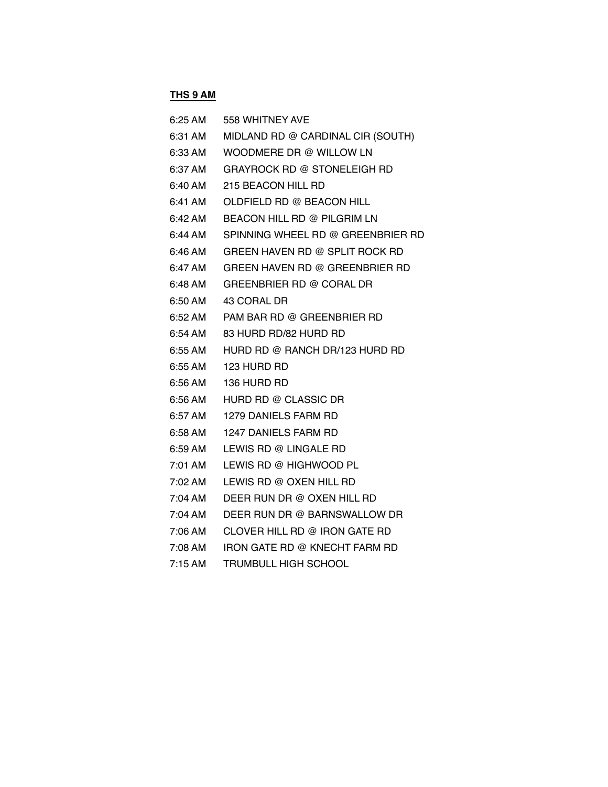### **THS 9 AM**

| $6:25 \text{ AM}$ | 558 WHITNEY AVE                    |
|-------------------|------------------------------------|
| 6:31 AM           | MIDLAND RD @ CARDINAL CIR (SOUTH)  |
| 6:33 AM           | WOODMERE DR @ WILLOW LN            |
| 6:37 AM           | <b>GRAYROCK RD @ STONELEIGH RD</b> |
| 6:40 AM           | 215 BEACON HILL RD                 |
| 6:41 AM           | OLDFIELD RD @ BEACON HILL          |
| 6:42 AM           | BEACON HILL RD @ PILGRIM LN        |
| 6:44 AM           | SPINNING WHEEL RD @ GREENBRIER RD  |
| 6:46 AM           | GREEN HAVEN RD @ SPLIT ROCK RD     |
| 6:47 AM           | GREEN HAVEN RD @ GREENBRIER RD     |
| 6:48 AM           | GREENBRIER RD @ CORAL DR           |
| 6:50 AM           | 43 CORAL DR                        |
| 6:52 AM           | PAM BAR RD @ GREENBRIER RD         |
| 6:54 AM           | 83 HURD RD/82 HURD RD              |
| 6:55 AM           | HURD RD @ RANCH DR/123 HURD RD     |
| 6:55 AM           | 123 HURD RD                        |
| 6:56 AM           | 136 HURD RD                        |
| 6:56 AM           | HURD RD @ CLASSIC DR               |
| 6:57 AM           | 1279 DANIELS FARM RD               |
| 6:58 AM           | <b>1247 DANIELS FARM RD</b>        |
| 6:59 AM           | LEWIS RD @ LINGALE RD              |
| 7:01 AM           | LEWIS RD @ HIGHWOOD PL             |
| 7:02 AM           | LEWIS RD @ OXEN HILL RD            |
| 7:04 AM           | DEER RUN DR @ OXEN HILL RD         |
| 7:04 AM           | DEER RUN DR @ BARNSWALLOW DR       |
| 7:06 AM           | CLOVER HILL RD @ IRON GATE RD      |
| 7:08 AM           | IRON GATE RD @ KNECHT FARM RD      |
| $7:15$ AM         | <b>TRUMBULL HIGH SCHOOL</b>        |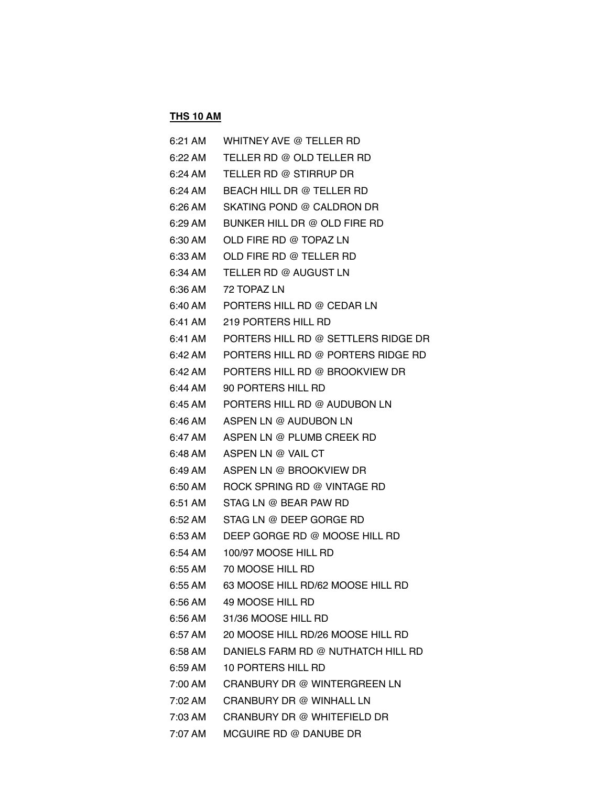### **THS 10 AM**

| 6:21 AM | WHITNEY AVE @ TELLER RD             |
|---------|-------------------------------------|
| 6:22 AM | TELLER RD @ OLD TELLER RD           |
| 6:24 AM | TELLER RD @ STIRRUP DR              |
| 6:24 AM | BEACH HILL DR @ TELLER RD           |
| 6:26 AM | SKATING POND @ CALDRON DR           |
| 6:29 AM | BUNKER HILL DR @ OLD FIRE RD        |
| 6:30 AM | OLD FIRE RD @ TOPAZ LN              |
| 6:33 AM | OLD FIRE RD @ TELLER RD             |
| 6:34 AM | TELLER RD @ AUGUST LN               |
| 6:36 AM | 72 TOPAZ LN                         |
| 6:40 AM | PORTERS HILL RD @ CEDAR LN          |
| 6:41 AM | 219 PORTERS HILL RD                 |
| 6:41 AM | PORTERS HILL RD @ SETTLERS RIDGE DR |
| 6:42 AM | PORTERS HILL RD @ PORTERS RIDGE RD  |
| 6:42 AM | PORTERS HILL RD @ BROOKVIEW DR      |
| 6:44 AM | 90 PORTERS HILL RD                  |
| 6:45 AM | PORTERS HILL RD @ AUDUBON LN        |
| 6:46 AM | ASPEN LN @ AUDUBON LN               |
| 6:47 AM | ASPEN LN @ PLUMB CREEK RD           |
| 6:48 AM | ASPEN LN @ VAIL CT                  |
| 6:49 AM | ASPEN LN @ BROOKVIEW DR             |
| 6:50 AM | ROCK SPRING RD @ VINTAGE RD         |
| 6:51 AM | STAG LN @ BEAR PAW RD               |
| 6:52 AM | STAG LN @ DEEP GORGE RD             |
| 6:53 AM | DEEP GORGE RD @ MOOSE HILL RD       |
| 6:54 AM | 100/97 MOOSE HILL RD                |
| 6:55 AM | 70 MOOSE HILL RD                    |
| 6:55 AM | 63 MOOSE HILL RD/62 MOOSE HILL RD   |
| 6:56 AM | 49 MOOSE HILL RD                    |
| 6:56 AM | 31/36 MOOSE HILL RD                 |
| 6:57 AM | 20 MOOSE HILL RD/26 MOOSE HILL RD   |
| 6:58 AM | DANIELS FARM RD @ NUTHATCH HILL RD  |
| 6:59 AM | <b>10 PORTERS HILL RD</b>           |
| 7:00 AM | CRANBURY DR @ WINTERGREEN LN        |
| 7:02 AM | CRANBURY DR @ WINHALL LN            |
| 7:03 AM | CRANBURY DR @ WHITEFIELD DR         |
| 7:07 AM | MCGUIRE RD @ DANUBE DR              |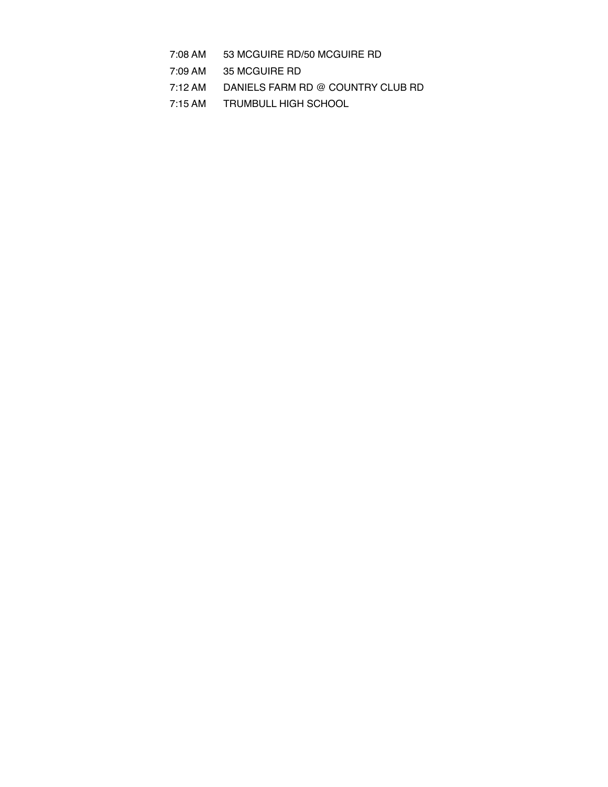- 7:08 AM 53 MCGUIRE RD/50 MCGUIRE RD
- 7:09 AM 35 MCGUIRE RD
- 7:12 AM DANIELS FARM RD @ COUNTRY CLUB RD
- 7:15 AM TRUMBULL HIGH SCHOOL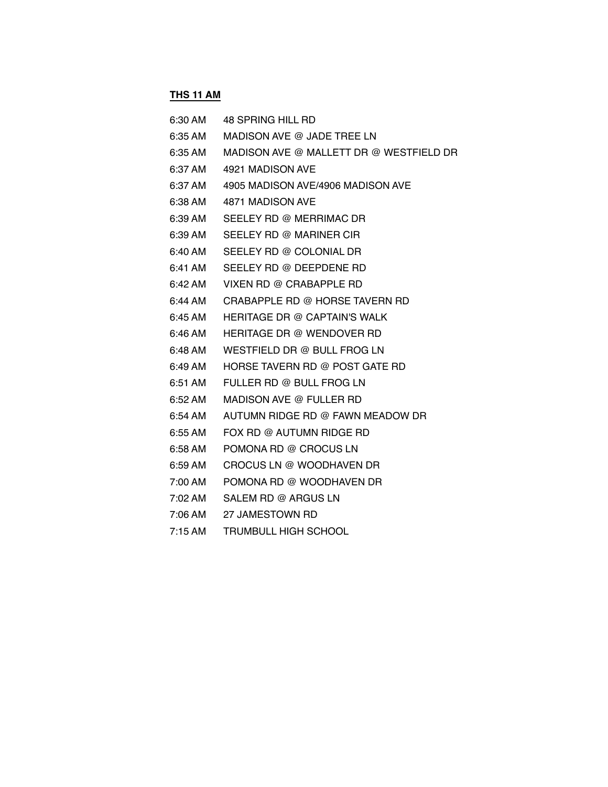### **THS 11 AM**

| 6:30 AM           | 48 SPRING HILL RD                       |
|-------------------|-----------------------------------------|
| 6:35 AM           | MADISON AVE @ JADE TREE LN              |
| 6:35 AM           | MADISON AVE @ MALLETT DR @ WESTFIELD DR |
| 6:37 AM           | 4921 MADISON AVE                        |
| 6:37 AM           | 4905 MADISON AVE/4906 MADISON AVE       |
| 6:38 AM           | 4871 MADISON AVE                        |
| 6:39 AM           | SEELEY RD @ MERRIMAC DR                 |
| 6:39 AM           | SEELEY RD @ MARINER CIR                 |
| 6:40 AM           | SEELEY RD @ COLONIAL DR                 |
| 6:41 AM           | SEELEY RD @ DEEPDENE RD                 |
| $6:42 \text{ AM}$ | VIXEN RD @ CRABAPPLE RD                 |
| 6:44 AM           | CRABAPPLE RD @ HORSE TAVERN RD          |
| 6:45 AM           | <b>HERITAGE DR @ CAPTAIN'S WALK</b>     |
| 6:46 AM           | <b>HERITAGE DR @ WENDOVER RD</b>        |
| 6:48 AM           | WESTFIELD DR @ BULL FROG LN             |
| 6:49 AM           | HORSE TAVERN RD @ POST GATE RD          |
| 6:51 AM           | FULLER RD @ BULL FROG LN                |
| 6:52 AM           | MADISON AVE @ FULLER RD                 |
| 6:54 AM           | AUTUMN RIDGE RD @ FAWN MEADOW DR        |
| 6:55 AM           | FOX RD @ AUTUMN RIDGE RD                |
| 6:58 AM           | POMONA RD @ CROCUS LN                   |
| 6:59 AM           | CROCUS LN @ WOODHAVEN DR                |
| 7:00 AM           | POMONA RD @ WOODHAVEN DR                |
| 7:02 AM           | SALEM RD @ ARGUS LN                     |
| 7:06 AM           | 27 JAMESTOWN RD                         |
| $7:15$ AM         | <b>TRUMBULL HIGH SCHOOL</b>             |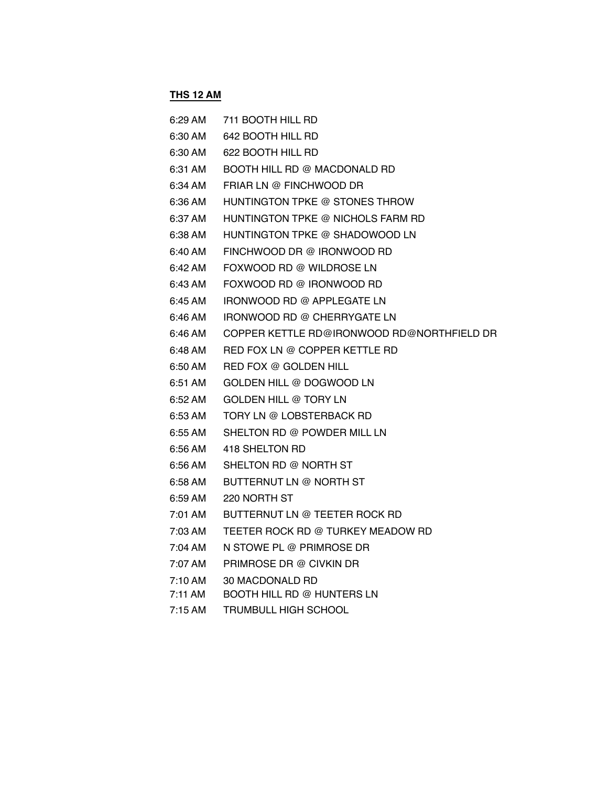### **THS 12 AM**

| 6:29 AM | 711 BOOTH HILL RD                          |
|---------|--------------------------------------------|
| 6:30 AM | 642 BOOTH HILL RD                          |
| 6:30 AM | 622 BOOTH HILL RD                          |
| 6:31 AM | BOOTH HILL RD @ MACDONALD RD               |
| 6:34 AM | FRIAR LN @ FINCHWOOD DR                    |
| 6:36 AM | HUNTINGTON TPKE @ STONES THROW             |
| 6:37 AM | HUNTINGTON TPKE @ NICHOLS FARM RD          |
| 6:38 AM | HUNTINGTON TPKE @ SHADOWOOD LN             |
| 6:40 AM | FINCHWOOD DR @ IRONWOOD RD                 |
| 6:42 AM | FOXWOOD RD @ WILDROSE LN                   |
| 6:43 AM | FOXWOOD RD @ IRONWOOD RD                   |
| 6:45 AM | IRONWOOD RD @ APPLEGATE LN                 |
| 6:46 AM | IRONWOOD RD @ CHERRYGATE LN                |
| 6:46 AM | COPPER KETTLE RD@IRONWOOD RD@NORTHFIELD DR |
| 6:48 AM | RED FOX LN @ COPPER KETTLE RD              |
| 6:50 AM | RED FOX @ GOLDEN HILL                      |
| 6:51 AM | GOLDEN HILL @ DOGWOOD LN                   |
| 6:52 AM | GOLDEN HILL @ TORY LN                      |
| 6:53 AM | TORY LN @ LOBSTERBACK RD                   |
| 6:55 AM | SHELTON RD @ POWDER MILL LN                |
| 6:56 AM | 418 SHELTON RD                             |
| 6:56 AM | SHELTON RD @ NORTH ST                      |
| 6:58 AM | BUTTERNUT LN @ NORTH ST                    |
| 6:59 AM | 220 NORTH ST                               |
| 7:01 AM | BUTTERNUT LN @ TEETER ROCK RD              |
| 7:03 AM | TEETER ROCK RD @ TURKEY MEADOW RD          |
| 7:04 AM | N STOWE PL @ PRIMROSE DR                   |
| 7:07 AM | PRIMROSE DR @ CIVKIN DR                    |
| 7:10 AM | 30 MACDONALD RD                            |
| 7:11 AM | BOOTH HILL RD @ HUNTERS LN                 |
|         |                                            |

7:15 AM TRUMBULL HIGH SCHOOL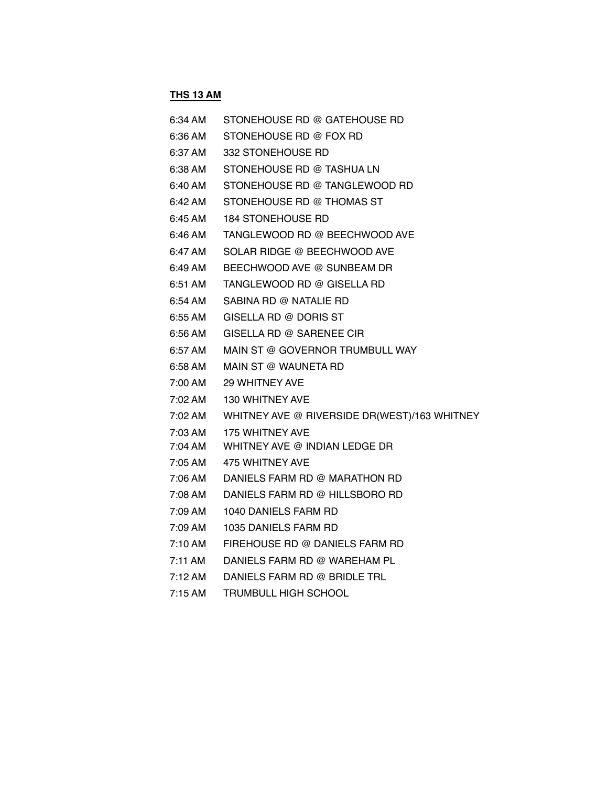### **THS 13 AM**

| 6:34 AM   | STONEHOUSE RD @ GATEHOUSE RD    |
|-----------|---------------------------------|
| 6:36 AM   | STONEHOUSE RD @ FOX RD          |
| 6:37 AM   | 332 STONEHOUSE RD               |
| 6:38 AM   | STONEHOUSE RD @ TASHUA LN       |
| 6:40 AM   | STONEHOUSE RD @ TANGLEWOOD RD   |
| 6:42 AM   | STONEHOUSE RD @ THOMAS ST       |
| 6:45 AM   | <b>184 STONEHOUSE RD</b>        |
| 6:46 AM   | TANGLEWOOD RD @ BEECHWOOD AVE   |
| 6:47 AM   | SOLAR RIDGE @ BEECHWOOD AVE     |
| 6:49 AM   | BEECHWOOD AVE @ SUNBEAM DR      |
| 6:51 AM   | TANGLEWOOD RD @ GISELLA RD      |
| 6:54 AM   | SABINA RD @ NATALIE RD          |
| 6:55 AM   | GISELLA RD @ DORIS ST           |
| 6:56 AM   | GISELLA RD @ SARENEE CIR        |
| 6:57 AM   | MAIN ST @ GOVERNOR TRUMBULL WAY |
| 6:58 AM   | MAIN ST @ WAUNETA RD            |
| 7:00 AM   | 29 WHITNEY AVE                  |
| 7:02 AM   | 130 WHITNEY AVE                 |
|           |                                 |
| 7:03 AM   | <b>175 WHITNEY AVE</b>          |
| 7:04 AM   | WHITNEY AVE @ INDIAN LEDGE DR   |
| 7:05 AM   | 475 WHITNEY AVE                 |
| 7:06 AM . | DANIELS FARM RD @ MARATHON RD   |
| 7:08 AM   | DANIELS FARM RD @ HILLSBORO RD  |
| 7:09 AM   | 1040 DANIELS FARM RD            |
| 7:09 AM   | 1035 DANIELS FARM RD            |
| 7:10 AM   | FIREHOUSE RD @ DANIELS FARM RD  |
| 7:11 AM   | DANIELS FARM RD @ WAREHAM PL    |
| 7:12 AM   | DANIELS FARM RD @ BRIDLE TRL    |

7:15 AM TRUMBULL HIGH SCHOOL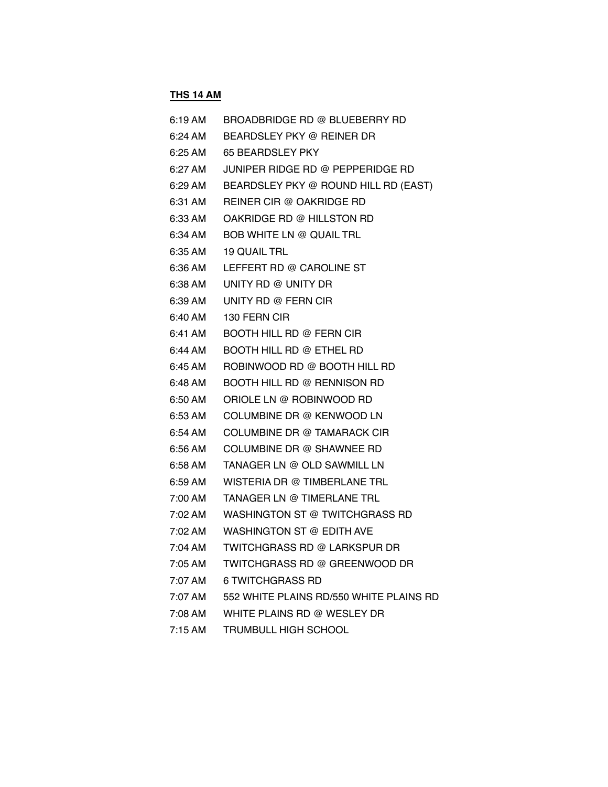# **THS 14 AM**

| 6:19 AM | BROADBRIDGE RD @ BLUEBERRY RD           |
|---------|-----------------------------------------|
| 6:24 AM | BEARDSLEY PKY @ REINER DR               |
| 6:25 AM | <b>65 BEARDSLEY PKY</b>                 |
| 6:27 AM | JUNIPER RIDGE RD @ PEPPERIDGE RD        |
| 6:29 AM | BEARDSLEY PKY @ ROUND HILL RD (EAST)    |
| 6:31 AM | REINER CIR @ OAKRIDGE RD                |
| 6:33 AM | OAKRIDGE RD @ HILLSTON RD               |
| 6:34 AM | <b>BOB WHITE LN @ QUAIL TRL</b>         |
| 6:35 AM | <b>19 QUAIL TRL</b>                     |
| 6:36 AM | LEFFERT RD @ CAROLINE ST                |
| 6:38 AM | UNITY RD @ UNITY DR                     |
| 6:39 AM | UNITY RD @ FERN CIR                     |
| 6:40 AM | 130 FERN CIR                            |
| 6:41 AM | <b>BOOTH HILL RD @ FERN CIR</b>         |
| 6:44 AM | <b>BOOTH HILL RD @ ETHEL RD</b>         |
| 6:45 AM | ROBINWOOD RD @ BOOTH HILL RD            |
| 6:48 AM | BOOTH HILL RD @ RENNISON RD             |
| 6:50 AM | ORIOLE LN @ ROBINWOOD RD                |
| 6:53 AM | COLUMBINE DR @ KENWOOD LN               |
| 6:54 AM | COLUMBINE DR @ TAMARACK CIR             |
| 6:56 AM | COLUMBINE DR @ SHAWNEE RD               |
| 6:58 AM | TANAGER LN @ OLD SAWMILL LN             |
| 6:59 AM | WISTERIA DR @ TIMBERLANE TRL            |
| 7:00 AM | TANAGER LN @ TIMERLANE TRL              |
| 7:02 AM | WASHINGTON ST @ TWITCHGRASS RD          |
|         | 7:02 AM WASHINGTON ST @ EDITH AVE       |
| 7:04 AM | TWITCHGRASS RD @ LARKSPUR DR            |
| 7:05 AM | TWITCHGRASS RD @ GREENWOOD DR           |
| 7:07 AM | <b>6 TWITCHGRASS RD</b>                 |
| 7:07 AM | 552 WHITE PLAINS RD/550 WHITE PLAINS RD |
| 7:08 AM | WHITE PLAINS RD @ WESLEY DR             |
| 7:15 AM | <b>TRUMBULL HIGH SCHOOL</b>             |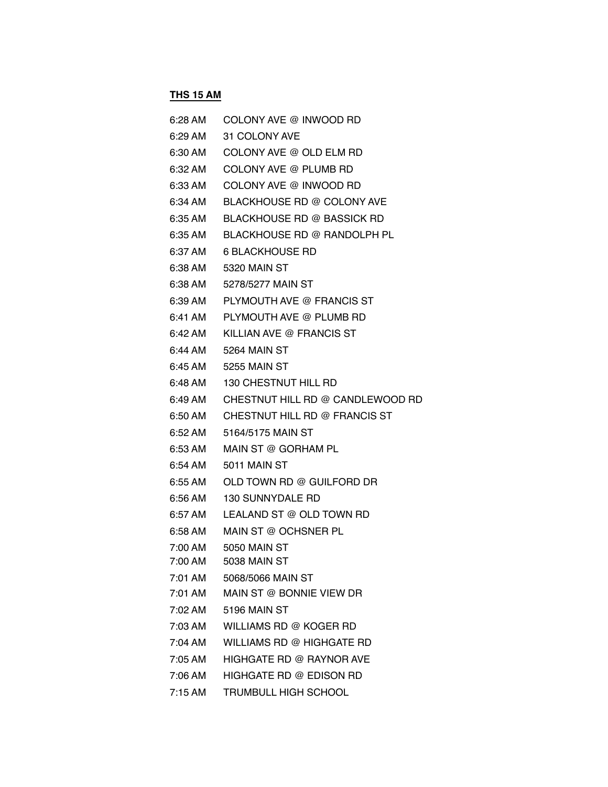# **THS 15 AM**

| 6:28 AM | COLONY AVE @ INWOOD RD            |
|---------|-----------------------------------|
| 6:29 AM | 31 COLONY AVE                     |
| 6:30 AM | COLONY AVE @ OLD ELM RD           |
| 6:32 AM | COLONY AVE @ PLUMB RD             |
| 6:33 AM | COLONY AVE @ INWOOD RD            |
| 6:34 AM | BLACKHOUSE RD @ COLONY AVE        |
| 6:35 AM | <b>BLACKHOUSE RD @ BASSICK RD</b> |
| 6:35 AM | BLACKHOUSE RD @ RANDOLPH PL       |
| 6:37 AM | <b>6 BLACKHOUSE RD</b>            |
| 6:38 AM | 5320 MAIN ST                      |
| 6:38 AM | 5278/5277 MAIN ST                 |
| 6:39 AM | PLYMOUTH AVE @ FRANCIS ST         |
| 6:41 AM | PLYMOUTH AVE @ PLUMB RD           |
| 6:42 AM | KILLIAN AVE @ FRANCIS ST          |
| 6:44 AM | 5264 MAIN ST                      |
| 6:45 AM | 5255 MAIN ST                      |
| 6:48 AM | 130 CHESTNUT HILL RD              |
| 6:49 AM | CHESTNUT HILL RD @ CANDLEWOOD RD  |
| 6:50 AM | CHESTNUT HILL RD @ FRANCIS ST     |
| 6:52 AM | 5164/5175 MAIN ST                 |
| 6:53 AM | MAIN ST @ GORHAM PL               |
| 6:54 AM | 5011 MAIN ST                      |
| 6:55 AM | OLD TOWN RD @ GUILFORD DR         |
| 6:56 AM | <b>130 SUNNYDALE RD</b>           |
| 6:57 AM | LEALAND ST @ OLD TOWN RD          |
| 6:58 AM | MAIN ST @ OCHSNER PL              |
| 7:00 AM | <b>5050 MAIN ST</b>               |
| 7:00 AM | 5038 MAIN ST                      |
| 7:01 AM | 5068/5066 MAIN ST                 |
| 7:01 AM | MAIN ST @ BONNIE VIEW DR          |
| 7:02 AM | <b>5196 MAIN ST</b>               |
| 7:03 AM | WILLIAMS RD @ KOGER RD            |
| 7:04 AM | WILLIAMS RD @ HIGHGATE RD         |
| 7:05 AM | HIGHGATE RD @ RAYNOR AVE          |
| 7:06 AM | HIGHGATE RD @ EDISON RD           |
| 7:15 AM | <b>TRUMBULL HIGH SCHOOL</b>       |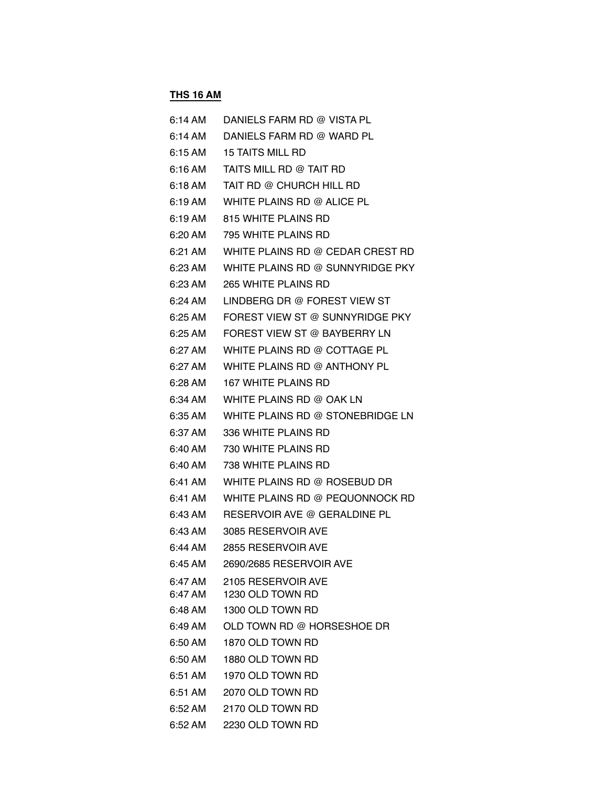#### **THS 16 AM**

| 6:14 AM           | DANIELS FARM RD @ VISTA PL       |
|-------------------|----------------------------------|
| 6:14 AM           | DANIELS FARM RD @ WARD PL        |
| 6:15 AM           | <b>15 TAITS MILL RD</b>          |
| 6:16 AM           | TAITS MILL RD @ TAIT RD          |
| 6:18 AM           | TAIT RD @ CHURCH HILL RD         |
| 6:19 AM           | WHITE PLAINS RD @ ALICE PL       |
| 6:19 AM           | 815 WHITE PLAINS RD              |
| 6:20 AM           | 795 WHITE PLAINS RD              |
| 6:21 AM           | WHITE PLAINS RD @ CEDAR CREST RD |
| 6:23 AM           | WHITE PLAINS RD @ SUNNYRIDGE PKY |
| 6:23 AM           | <b>265 WHITE PLAINS RD</b>       |
| 6:24 AM           | LINDBERG DR @ FOREST VIEW ST     |
| 6:25 AM           | FOREST VIEW ST @ SUNNYRIDGE PKY  |
| $6:25 \text{ AM}$ | FOREST VIEW ST @ BAYBERRY LN     |
| 6:27 AM           | WHITE PLAINS RD @ COTTAGE PL     |
| 6:27 AM           | WHITE PLAINS RD @ ANTHONY PL     |
| 6:28 AM           | <b>167 WHITE PLAINS RD</b>       |
| 6:34 AM           | WHITE PLAINS RD @ OAK LN         |
| 6:35 AM           | WHITE PLAINS RD @ STONEBRIDGE LN |
| 6:37 AM           | 336 WHITE PLAINS RD              |
| 6:40 AM           | 730 WHITE PLAINS RD              |
| 6:40 AM           | 738 WHITE PLAINS RD              |
| 6:41 AM           | WHITE PLAINS RD @ ROSEBUD DR     |
| 6:41 AM           | WHITE PLAINS RD @ PEQUONNOCK RD  |
| 6:43 AM           | RESERVOIR AVE @ GERALDINE PL     |
| 6:43 AM           | 3085 RESERVOIR AVE               |
| 6:44 AM           | 2855 RESERVOIR AVE               |
| 6:45 AM           | 2690/2685 RESERVOIR AVE          |
| 6:47 AM           | 2105 RESERVOIR AVE               |
| 6:47 AM           | 1230 OLD TOWN RD                 |
| 6:48 AM           | 1300 OLD TOWN RD                 |
| 6:49 AM           | OLD TOWN RD @ HORSESHOE DR       |
| 6:50 AM           | 1870 OLD TOWN RD                 |
| 6:50 AM           | 1880 OLD TOWN RD                 |
| 6:51 AM           | 1970 OLD TOWN RD                 |
| 6:51 AM           | 2070 OLD TOWN RD                 |
| 6:52 AM           | 2170 OLD TOWN RD                 |
| 6:52 AM           | 2230 OLD TOWN RD                 |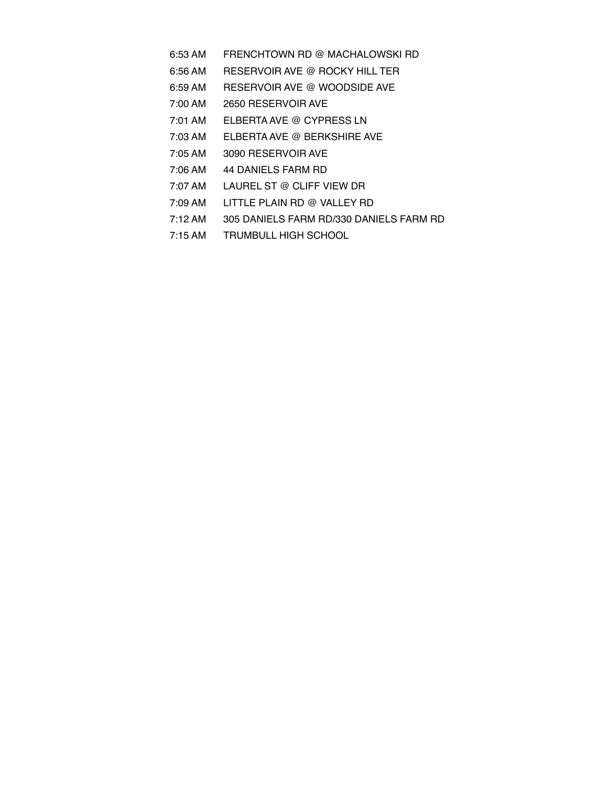- 6:53 AM FRENCHTOWN RD @ MACHALOWSKI RD
- 6:56 AM RESERVOIR AVE @ ROCKY HILL TER
- 6:59 AM RESERVOIR AVE @ WOODSIDE AVE
- 7:00 AM 2650 RESERVOIR AVE
- 7:01 AM ELBERTA AVE @ CYPRESS LN
- 7:03 AM ELBERTA AVE @ BERKSHIRE AVE
- 7:05 AM 3090 RESERVOIR AVE
- 7:06 AM 44 DANIELS FARM RD
- 7:07 AM LAUREL ST @ CLIFF VIEW DR
- 7:09 AM LITTLE PLAIN RD @ VALLEY RD
- 7:12 AM 305 DANIELS FARM RD/330 DANIELS FARM RD
- 7:15 AM TRUMBULL HIGH SCHOOL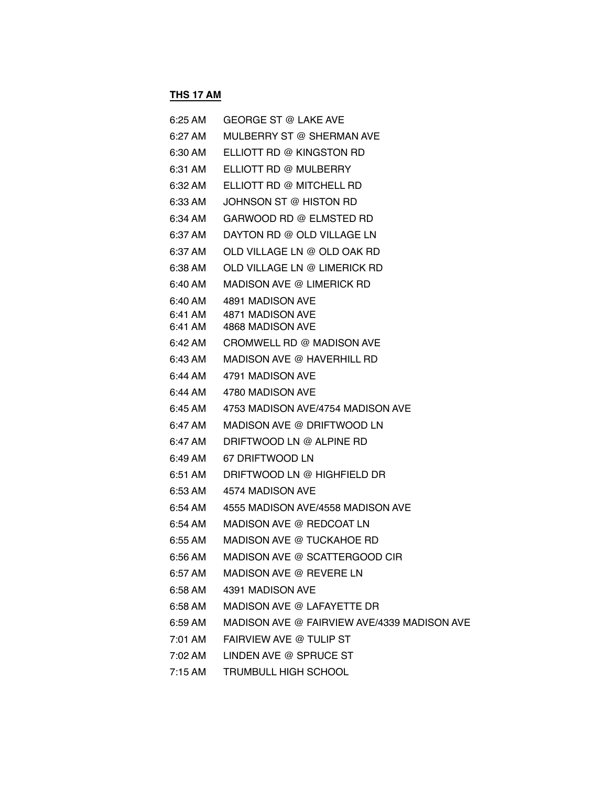### **THS 17 AM**

| 6:25 AM           | <b>GEORGE ST @ LAKE AVE</b>                 |
|-------------------|---------------------------------------------|
| $6:27 \text{ AM}$ | MULBERRY ST @ SHERMAN AVE                   |
| 6:30 AM           | ELLIOTT RD @ KINGSTON RD                    |
| 6:31 AM           | ELLIOTT RD @ MULBERRY                       |
| 6:32 AM           | ELLIOTT RD @ MITCHELL RD                    |
| 6:33 AM           | JOHNSON ST @ HISTON RD                      |
| 6:34 AM           | GARWOOD BD @ ELMSTED BD                     |
| 6:37 AM           | DAYTON RD @ OLD VILLAGE LN                  |
| 6:37 AM           | OLD VILLAGE LN @ OLD OAK RD                 |
| 6:38 AM           | OLD VILLAGE LN @ LIMERICK RD                |
| 6:40 AM           | MADISON AVE @ LIMERICK RD                   |
| 6:40 AM           | 4891 MADISON AVE                            |
| 6:41 AM           | 4871 MADISON AVE                            |
| 6:41 AM           | 4868 MADISON AVE                            |
| 6:42 AM           | CROMWELL RD @ MADISON AVE                   |
| 6:43 AM           | MADISON AVE @ HAVERHILL RD                  |
| 6:44 AM           | 4791 MADISON AVE                            |
| 6:44 AM           | 4780 MADISON AVE                            |
| 6:45 AM           | 4753 MADISON AVE/4754 MADISON AVE           |
| 6:47 AM           | MADISON AVE @ DRIFTWOOD LN                  |
| 6:47 AM           | DRIFTWOOD LN @ ALPINE RD                    |
| 6:49 AM           | 67 DRIFTWOOD LN                             |
| 6:51 AM           | DRIFTWOOD LN @ HIGHFIELD DR                 |
| 6:53 AM           | 4574 MADISON AVE                            |
| 6:54 AM           | 4555 MADISON AVE/4558 MADISON AVE           |
| 6:54 AM           | MADISON AVE @ REDCOAT LN                    |
| 6:55 AM           | MADISON AVE @ TUCKAHOE RD                   |
| 6:56 AM           | MADISON AVE @ SCATTERGOOD CIR               |
| 6:57 AM           | MADISON AVE @ REVERE LN                     |
| 6:58 AM           | 4391 MADISON AVE                            |
| 6:58 AM           | MADISON AVE @ LAFAYETTE DR                  |
| 6:59 AM           | MADISON AVE @ FAIRVIEW AVE/4339 MADISON AVE |
| 7:01 AM           | FAIRVIEW AVE @ TULIP ST                     |
| 7:02 AM           | LINDEN AVE @ SPRUCE ST                      |
| 7:15 AM           | TRUMBULL HIGH SCHOOL                        |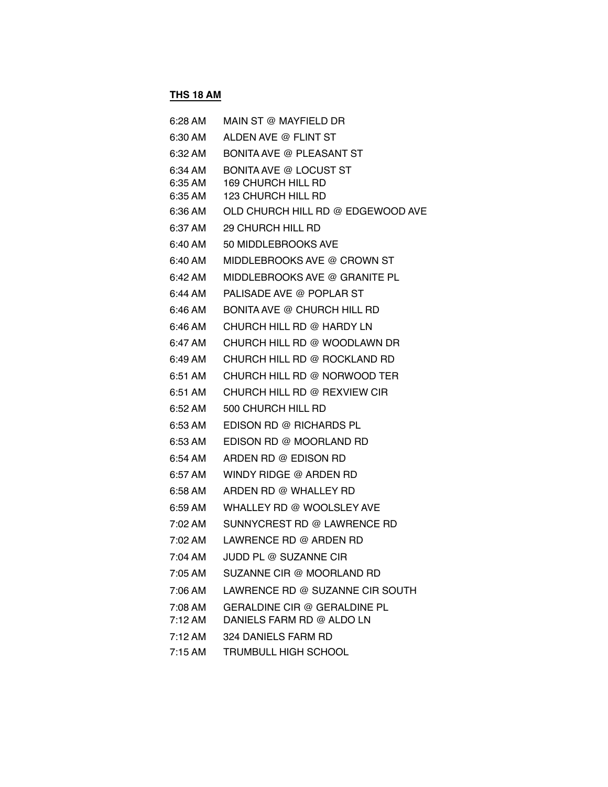### **THS 18 AM**

| 6:28 AM                       | MAIN ST @ MAYFIELD DR                                                     |
|-------------------------------|---------------------------------------------------------------------------|
| 6:30 AM                       | ALDEN AVE @ FLINT ST                                                      |
| 6:32 AM                       | <b>BONITA AVE @ PLEASANT ST</b>                                           |
| 6:34 AM<br>6:35 AM<br>6:35 AM | <b>BONITA AVE @ LOCUST ST</b><br>169 CHURCH HILL RD<br>123 CHURCH HILL RD |
| 6:36 AM                       | OLD CHURCH HILL RD @ EDGEWOOD AVE                                         |
| 6:37 AM                       | 29 CHURCH HILL RD                                                         |
| 6:40 AM                       | 50 MIDDLEBROOKS AVE                                                       |
| 6:40 AM                       | MIDDLEBROOKS AVE @ CROWN ST                                               |
| 6:42 AM                       | MIDDLEBROOKS AVE @ GRANITE PL                                             |
| 6:44 AM                       | PALISADE AVE @ POPLAR ST                                                  |
| 6:46 AM                       | BONITA AVE @ CHURCH HILL RD                                               |
| 6:46 AM                       | CHURCH HILL RD @ HARDY LN                                                 |
| 6:47 AM                       | CHURCH HILL RD @ WOODLAWN DR                                              |
| 6:49 AM                       | CHURCH HILL RD @ ROCKLAND RD                                              |
| 6:51 AM                       | CHURCH HILL RD @ NORWOOD TER                                              |
| 6:51 AM                       | CHURCH HILL RD @ REXVIEW CIR                                              |
| 6:52 AM                       | 500 CHURCH HILL RD                                                        |
| 6:53 AM                       | EDISON RD @ RICHARDS PL                                                   |
| 6:53 AM                       | EDISON RD @ MOORLAND RD                                                   |
| 6:54 AM                       | ARDEN RD @ EDISON RD                                                      |
| 6:57 AM                       | WINDY RIDGE @ ARDEN RD                                                    |
| 6:58 AM                       | ARDEN RD @ WHALLEY RD                                                     |
| 6:59 AM                       | WHALLEY RD @ WOOLSLEY AVE                                                 |
| 7:02 AM                       | SUNNYCREST RD @ LAWRENCE RD                                               |
| 7:02 AM                       | LAWRENCE RD @ ARDEN RD                                                    |
| 7:04 AM                       | JUDD PL @ SUZANNE CIR                                                     |
| 7:05 AM                       | SUZANNE CIR @ MOORLAND RD                                                 |
| $7:06$ AM                     | LAWRENCE RD @ SUZANNE CIR SOUTH                                           |
| 7:08 AM                       | GERALDINE CIR @ GERALDINE PL                                              |
| $7:12 \text{ AM}$             | DANIELS FARM RD @ ALDO LN                                                 |
| $7:12 \text{ AM}$             | 324 DANIELS FARM RD                                                       |
| $7:15$ AM                     | <b>TRUMBULL HIGH SCHOOL</b>                                               |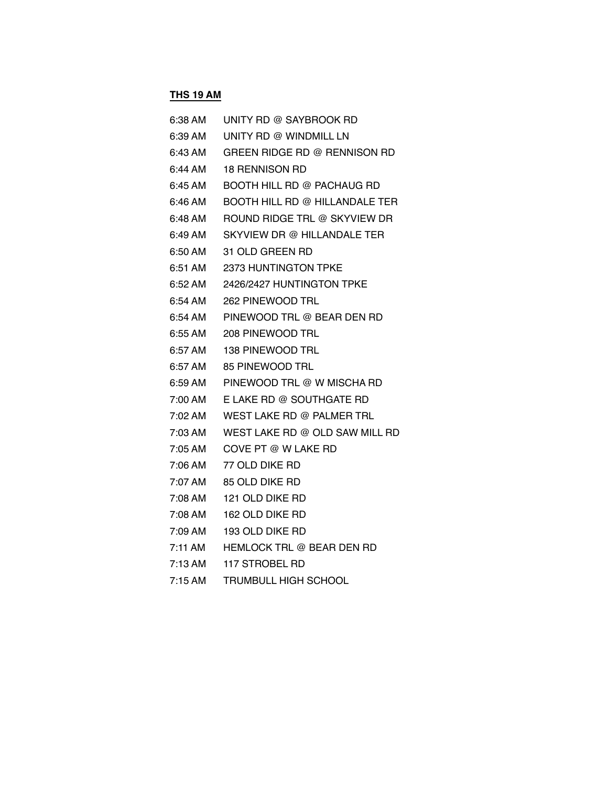### **THS 19 AM**

| 6:38 AM   | UNITY RD @ SAYBROOK RD           |
|-----------|----------------------------------|
| 6:39 AM   | UNITY RD @ WINDMILL LN           |
| 6:43 AM   | GREEN RIDGE RD @ RENNISON RD     |
| 6:44 AM   | <b>18 RENNISON RD</b>            |
| $6:45$ AM | BOOTH HILL RD @ PACHAUG RD       |
| 6:46 AM   | BOOTH HILL RD @ HILLANDALE TER   |
| 6:48 AM   | ROUND RIDGE TRL @ SKYVIEW DR     |
| 6:49 AM   | SKYVIEW DR @ HILLANDALE TER      |
| 6:50 AM   | 31 OLD GREEN RD                  |
| 6:51 AM   | <b>2373 HUNTINGTON TPKE</b>      |
| 6:52 AM   | 2426/2427 HUNTINGTON TPKE        |
| 6:54 AM   | 262 PINEWOOD TRL                 |
| 6:54 AM   | PINEWOOD TRL @ BEAR DEN RD       |
| 6:55 AM   | 208 PINEWOOD TRL                 |
| 6:57 AM   | 138 PINEWOOD TRL                 |
| 6:57 AM   | 85 PINEWOOD TRL                  |
| 6:59 AM   | PINEWOOD TRL @ W MISCHA RD       |
| 7:00 AM   | E LAKE RD @ SOUTHGATE RD         |
| 7:02 AM   | WEST LAKE RD @ PALMER TRL        |
| 7:03 AM   | WEST LAKE RD @ OLD SAW MILL RD   |
| 7:05 AM   | COVE PT @ W LAKE RD              |
| 7:06 AM   | 77 OLD DIKE RD                   |
| 7:07 AM   | 85 OLD DIKE RD                   |
| 7:08 AM   | 121 OLD DIKE RD                  |
| 7:08 AM   | 162 OLD DIKE RD                  |
| 7:09 AM   | 193 OLD DIKE RD                  |
| 7:11 AM   | <b>HEMLOCK TRL @ BEAR DEN RD</b> |
| 7:13 AM   | 117 STROBEL RD                   |
| $7:15$ AM | <b>TRUMBULL HIGH SCHOOL</b>      |